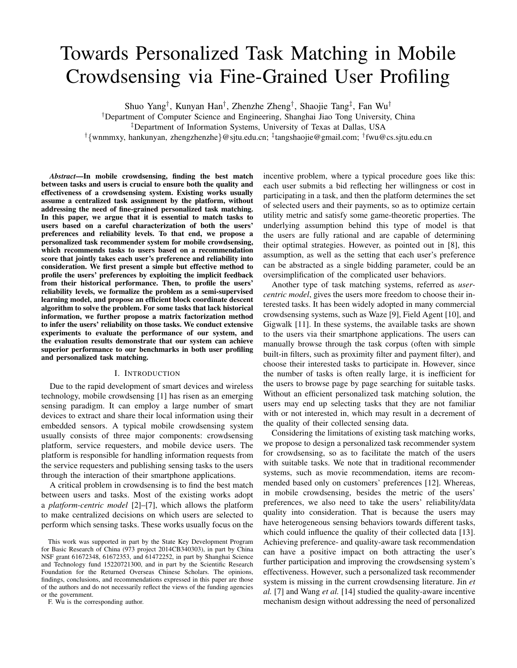# Towards Personalized Task Matching in Mobile Crowdsensing via Fine-Grained User Profiling

Shuo Yang*†* , Kunyan Han*†* , Zhenzhe Zheng*†* , Shaojie Tang*‡* , Fan Wu*†*

*†*Department of Computer Science and Engineering, Shanghai Jiao Tong University, China

*†{*wnmmxy, hankunyan, zhengzhenzhe*}*@sjtu.edu.cn; *‡* tangshaojie@gmail.com; *†* fwu@cs.sjtu.edu.cn

*Abstract*—In mobile crowdsensing, finding the best match between tasks and users is crucial to ensure both the quality and effectiveness of a crowdsensing system. Existing works usually assume a centralized task assignment by the platform, without addressing the need of fine-grained personalized task matching. In this paper, we argue that it is essential to match tasks to users based on a careful characterization of both the users' preferences and reliability levels. To that end, we propose a personalized task recommender system for mobile crowdsensing, which recommends tasks to users based on a recommendation score that jointly takes each user's preference and reliability into consideration. We first present a simple but effective method to profile the users' preferences by exploiting the implicit feedback from their historical performance. Then, to profile the users' reliability levels, we formalize the problem as a semi-supervised learning model, and propose an efficient block coordinate descent algorithm to solve the problem. For some tasks that lack historical information, we further propose a matrix factorization method to infer the users' reliability on those tasks. We conduct extensive experiments to evaluate the performance of our system, and the evaluation results demonstrate that our system can achieve superior performance to our benchmarks in both user profiling and personalized task matching.

## I. INTRODUCTION

Due to the rapid development of smart devices and wireless technology, mobile crowdsensing [1] has risen as an emerging sensing paradigm. It can employ a large number of smart devices to extract and share their local information using their embedded sensors. A typical mobile crowdsensing system usually consists of three major components: crowdsensing platform, service requesters, and mobile device users. The platform is responsible for handling information requests from the service requesters and publishing sensing tasks to the users through the interaction of their smartphone applications.

A critical problem in crowdsensing is to find the best match between users and tasks. Most of the existing works adopt a *platform-centric model* [2]–[7], which allows the platform to make centralized decisions on which users are selected to perform which sensing tasks. These works usually focus on the

F. Wu is the corresponding author.

incentive problem, where a typical procedure goes like this: each user submits a bid reflecting her willingness or cost in participating in a task, and then the platform determines the set of selected users and their payments, so as to optimize certain utility metric and satisfy some game-theoretic properties. The underlying assumption behind this type of model is that the users are fully rational and are capable of determining their optimal strategies. However, as pointed out in [8], this assumption, as well as the setting that each user's preference can be abstracted as a single bidding parameter, could be an oversimplification of the complicated user behaviors.

Another type of task matching systems, referred as *usercentric model*, gives the users more freedom to choose their interested tasks. It has been widely adopted in many commercial crowdsensing systems, such as Waze [9], Field Agent [10], and Gigwalk [11]. In these systems, the available tasks are shown to the users via their smartphone applications. The users can manually browse through the task corpus (often with simple built-in filters, such as proximity filter and payment filter), and choose their interested tasks to participate in. However, since the number of tasks is often really large, it is inefficient for the users to browse page by page searching for suitable tasks. Without an efficient personalized task matching solution, the users may end up selecting tasks that they are not familiar with or not interested in, which may result in a decrement of the quality of their collected sensing data.

Considering the limitations of existing task matching works, we propose to design a personalized task recommender system for crowdsensing, so as to facilitate the match of the users with suitable tasks. We note that in traditional recommender systems, such as movie recommendation, items are recommended based only on customers' preferences [12]. Whereas, in mobile crowdsensing, besides the metric of the users' preferences, we also need to take the users' reliability/data quality into consideration. That is because the users may have heterogeneous sensing behaviors towards different tasks, which could influence the quality of their collected data [13]. Achieving preference- and quality-aware task recommendation can have a positive impact on both attracting the user's further participation and improving the crowdsensing system's effectiveness. However, such a personalized task recommender system is missing in the current crowdsensing literature. Jin *et al.* [7] and Wang *et al.* [14] studied the quality-aware incentive mechanism design without addressing the need of personalized

*<sup>‡</sup>*Department of Information Systems, University of Texas at Dallas, USA

This work was supported in part by the State Key Development Program for Basic Research of China (973 project 2014CB340303), in part by China NSF grant 61672348, 61672353, and 61472252, in part by Shanghai Science and Technology fund 15220721300, and in part by the Scientific Research Foundation for the Returned Overseas Chinese Scholars. The opinions, findings, conclusions, and recommendations expressed in this paper are those of the authors and do not necessarily reflect the views of the funding agencies or the government.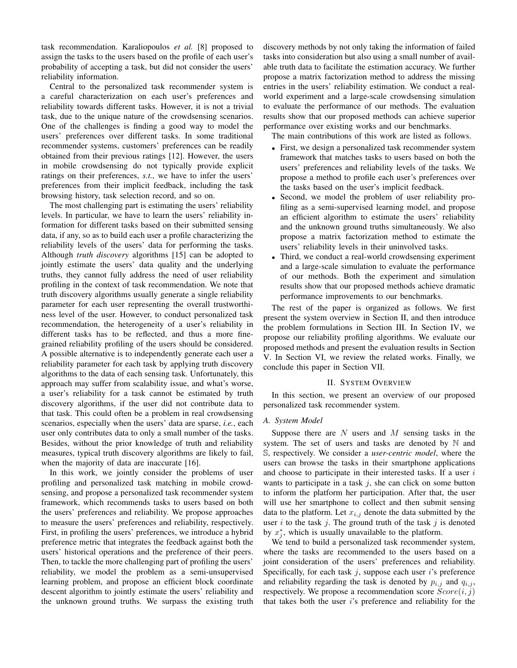task recommendation. Karaliopoulos *et al.* [8] proposed to assign the tasks to the users based on the profile of each user's probability of accepting a task, but did not consider the users' reliability information.

Central to the personalized task recommender system is a careful characterization on each user's preferences and reliability towards different tasks. However, it is not a trivial task, due to the unique nature of the crowdsensing scenarios. One of the challenges is finding a good way to model the users' preferences over different tasks. In some traditional recommender systems, customers' preferences can be readily obtained from their previous ratings [12]. However, the users in mobile crowdsensing do not typically provide explicit ratings on their preferences, *s.t.*, we have to infer the users' preferences from their implicit feedback, including the task browsing history, task selection record, and so on.

The most challenging part is estimating the users' reliability levels. In particular, we have to learn the users' reliability information for different tasks based on their submitted sensing data, if any, so as to build each user a profile characterizing the reliability levels of the users' data for performing the tasks. Although *truth discovery* algorithms [15] can be adopted to jointly estimate the users' data quality and the underlying truths, they cannot fully address the need of user reliability profiling in the context of task recommendation. We note that truth discovery algorithms usually generate a single reliability parameter for each user representing the overall trustworthiness level of the user. However, to conduct personalized task recommendation, the heterogeneity of a user's reliability in different tasks has to be reflected, and thus a more finegrained reliability profiling of the users should be considered. A possible alternative is to independently generate each user a reliability parameter for each task by applying truth discovery algorithms to the data of each sensing task. Unfortunately, this approach may suffer from scalability issue, and what's worse, a user's reliability for a task cannot be estimated by truth discovery algorithms, if the user did not contribute data to that task. This could often be a problem in real crowdsensing scenarios, especially when the users' data are sparse, *i.e.*, each user only contributes data to only a small number of the tasks. Besides, without the prior knowledge of truth and reliability measures, typical truth discovery algorithms are likely to fail, when the majority of data are inaccurate [16].

In this work, we jointly consider the problems of user profiling and personalized task matching in mobile crowdsensing, and propose a personalized task recommender system framework, which recommends tasks to users based on both the users' preferences and reliability. We propose approaches to measure the users' preferences and reliability, respectively. First, in profiling the users' preferences, we introduce a hybrid preference metric that integrates the feedback against both the users' historical operations and the preference of their peers. Then, to tackle the more challenging part of profiling the users' reliability, we model the problem as a semi-unsupervised learning problem, and propose an efficient block coordinate descent algorithm to jointly estimate the users' reliability and the unknown ground truths. We surpass the existing truth discovery methods by not only taking the information of failed tasks into consideration but also using a small number of available truth data to facilitate the estimation accuracy. We further propose a matrix factorization method to address the missing entries in the users' reliability estimation. We conduct a realworld experiment and a large-scale crowdsensing simulation to evaluate the performance of our methods. The evaluation results show that our proposed methods can achieve superior performance over existing works and our benchmarks.

The main contributions of this work are listed as follows.

- *•* First, we design a personalized task recommender system framework that matches tasks to users based on both the users' preferences and reliability levels of the tasks. We propose a method to profile each user's preferences over the tasks based on the user's implicit feedback.
- *•* Second, we model the problem of user reliability profiling as a semi-supervised learning model, and propose an efficient algorithm to estimate the users' reliability and the unknown ground truths simultaneously. We also propose a matrix factorization method to estimate the users' reliability levels in their uninvolved tasks.
- *•* Third, we conduct a real-world crowdsensing experiment and a large-scale simulation to evaluate the performance of our methods. Both the experiment and simulation results show that our proposed methods achieve dramatic performance improvements to our benchmarks.

The rest of the paper is organized as follows. We first present the system overview in Section II, and then introduce the problem formulations in Section III. In Section IV, we propose our reliability profiling algorithms. We evaluate our proposed methods and present the evaluation results in Section V. In Section VI, we review the related works. Finally, we conclude this paper in Section VII.

# II. SYSTEM OVERVIEW

In this section, we present an overview of our proposed personalized task recommender system.

# *A. System Model*

Suppose there are *N* users and *M* sensing tasks in the system. The set of users and tasks are denoted by  $\mathbb N$  and S, respectively. We consider a *user-centric model*, where the users can browse the tasks in their smartphone applications and choose to participate in their interested tasks. If a user *i* wants to participate in a task *j*, she can click on some button to inform the platform her participation. After that, the user will use her smartphone to collect and then submit sensing data to the platform. Let  $x_{i,j}$  denote the data submitted by the user *i* to the task *j*. The ground truth of the task *j* is denoted by  $x_j^*$ , which is usually unavailable to the platform.

We tend to build a personalized task recommender system, where the tasks are recommended to the users based on a joint consideration of the users' preferences and reliability. Specifically, for each task *j*, suppose each user *i*'s preference and reliability regarding the task is denoted by  $p_{i,j}$  and  $q_{i,j}$ , respectively. We propose a recommendation score *Score*(*i, j*) that takes both the user *i*'s preference and reliability for the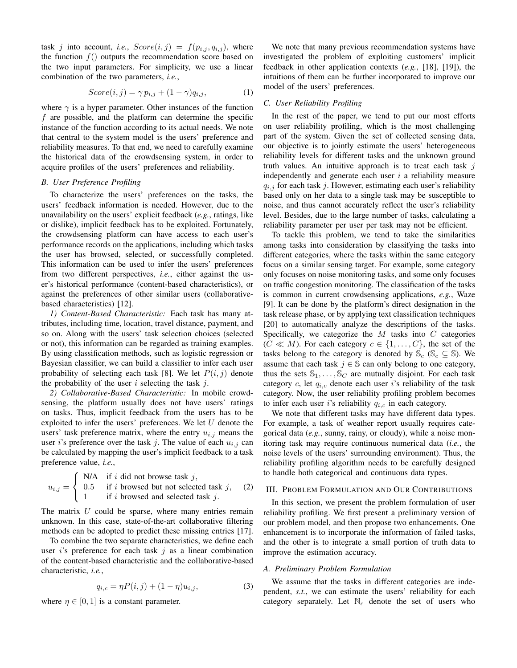task *j* into account, *i.e.*,  $Score(i, j) = f(p_{i,j}, q_{i,j})$ , where the function *f*() outputs the recommendation score based on the two input parameters. For simplicity, we use a linear combination of the two parameters, *i.e.*,

$$
Score(i,j) = \gamma p_{i,j} + (1 - \gamma)q_{i,j},\tag{1}
$$

where  $\gamma$  is a hyper parameter. Other instances of the function *f* are possible, and the platform can determine the specific instance of the function according to its actual needs. We note that central to the system model is the users' preference and reliability measures. To that end, we need to carefully examine the historical data of the crowdsensing system, in order to acquire profiles of the users' preferences and reliability.

# *B. User Preference Profiling*

To characterize the users' preferences on the tasks, the users' feedback information is needed. However, due to the unavailability on the users' explicit feedback (*e.g.*, ratings, like or dislike), implicit feedback has to be exploited. Fortunately, the crowdsensing platform can have access to each user's performance records on the applications, including which tasks the user has browsed, selected, or successfully completed. This information can be used to infer the users' preferences from two different perspectives, *i.e.*, either against the user's historical performance (content-based characteristics), or against the preferences of other similar users (collaborativebased characteristics) [12].

*1) Content-Based Characteristic:* Each task has many attributes, including time, location, travel distance, payment, and so on. Along with the users' task selection choices (selected or not), this information can be regarded as training examples. By using classification methods, such as logistic regression or Bayesian classifier, we can build a classifier to infer each user probability of selecting each task [8]. We let  $P(i, j)$  denote the probability of the user *i* selecting the task *j*.

*2) Collaborative-Based Characteristic:* In mobile crowdsensing, the platform usually does not have users' ratings on tasks. Thus, implicit feedback from the users has to be exploited to infer the users' preferences. We let *U* denote the users' task preference matrix, where the entry  $u_{i,j}$  means the user *i*'s preference over the task *j*. The value of each  $u_{i,j}$  can be calculated by mapping the user's implicit feedback to a task preference value, *i.e.*,

$$
u_{i,j} = \begin{cases} \text{N/A} & \text{if } i \text{ did not browse task } j, \\ 0.5 & \text{if } i \text{ browseed but not selected task } j, \\ 1 & \text{if } i \text{ browseed and selected task } j. \end{cases} \tag{2}
$$

The matrix *U* could be sparse, where many entries remain unknown. In this case, state-of-the-art collaborative filtering methods can be adopted to predict these missing entries [17].

To combine the two separate characteristics, we define each user *i*'s preference for each task *j* as a linear combination of the content-based characteristic and the collaborative-based characteristic, *i.e.*,

$$
q_{i,c} = \eta P(i,j) + (1 - \eta)u_{i,j},\tag{3}
$$

where  $\eta \in [0, 1]$  is a constant parameter.

We note that many previous recommendation systems have investigated the problem of exploiting customers' implicit feedback in other application contexts (*e.g.*, [18], [19]), the intuitions of them can be further incorporated to improve our model of the users' preferences.

# *C. User Reliability Profiling*

In the rest of the paper, we tend to put our most efforts on user reliability profiling, which is the most challenging part of the system. Given the set of collected sensing data, our objective is to jointly estimate the users' heterogeneous reliability levels for different tasks and the unknown ground truth values. An intuitive approach is to treat each task *j* independently and generate each user *i* a reliability measure  $q_{i,j}$  for each task *j*. However, estimating each user's reliability based only on her data to a single task may be susceptible to noise, and thus cannot accurately reflect the user's reliability level. Besides, due to the large number of tasks, calculating a reliability parameter per user per task may not be efficient.

To tackle this problem, we tend to take the similarities among tasks into consideration by classifying the tasks into different categories, where the tasks within the same category focus on a similar sensing target. For example, some category only focuses on noise monitoring tasks, and some only focuses on traffic congestion monitoring. The classification of the tasks is common in current crowdsensing applications, *e.g.*, Waze [9]. It can be done by the platform's direct designation in the task release phase, or by applying text classification techniques [20] to automatically analyze the descriptions of the tasks. Specifically, we categorize the *M* tasks into *C* categories  $(C \ll M)$ . For each category  $c \in \{1, \ldots, C\}$ , the set of the tasks belong to the category is denoted by  $\mathbb{S}_c$  ( $\mathbb{S}_c \subseteq \mathbb{S}$ ). We assume that each task  $j \in \mathbb{S}$  can only belong to one category, thus the sets  $\mathbb{S}_1, \ldots, \mathbb{S}_C$  are mutually disjoint. For each task category  $c$ , let  $q_{i,c}$  denote each user *i*'s reliability of the task category. Now, the user reliability profiling problem becomes to infer each user *i*'s reliability  $q_{i,c}$  in each category.

We note that different tasks may have different data types. For example, a task of weather report usually requires categorical data (*e.g.*, sunny, rainy, or cloudy), while a noise monitoring task may require continuous numerical data (*i.e.*, the noise levels of the users' surrounding environment). Thus, the reliability profiling algorithm needs to be carefully designed to handle both categorical and continuous data types.

## III. PROBLEM FORMULATION AND OUR CONTRIBUTIONS

In this section, we present the problem formulation of user reliability profiling. We first present a preliminary version of our problem model, and then propose two enhancements. One enhancement is to incorporate the information of failed tasks, and the other is to integrate a small portion of truth data to improve the estimation accuracy.

## *A. Preliminary Problem Formulation*

We assume that the tasks in different categories are independent, *s.t.*, we can estimate the users' reliability for each category separately. Let  $\mathbb{N}_c$  denote the set of users who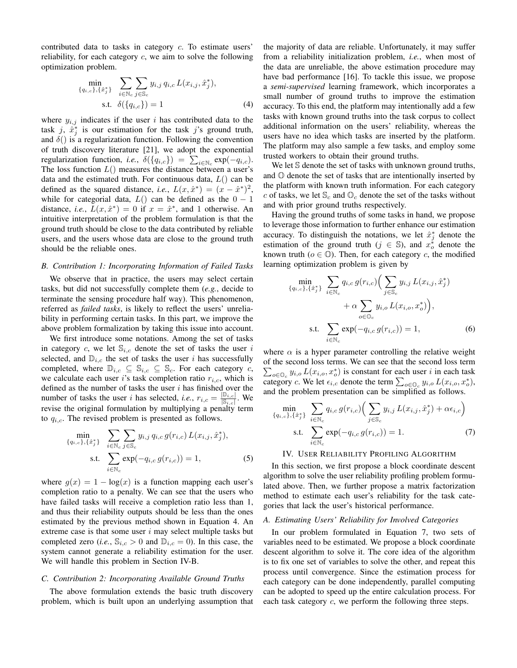contributed data to tasks in category *c*. To estimate users' reliability, for each category *c*, we aim to solve the following optimization problem.

$$
\min_{\{q_{i,c}\},\{\hat{x}_j^*\}} \sum_{i \in \mathbb{N}_c} \sum_{j \in \mathbb{S}_c} y_{i,j} q_{i,c} L(x_{i,j}, \hat{x}_j^*),
$$
\ns.t.  $\delta(\{q_{i,c}\}) = 1$  (4)

where  $y_{i,j}$  indicates if the user *i* has contributed data to the task *j*,  $\hat{x}_j^*$  is our estimation for the task *j*'s ground truth, and  $\delta$ () is a regularization function. Following the convention of truth discovery literature [21], we adopt the exponential regularization function, *i.e.*,  $\delta({q_{i,c}}) = \sum_{i \in \mathbb{N}_c} \exp(-q_{i,c})$ . The loss function *L*() measures the distance between a user's data and the estimated truth. For continuous data, *L*() can be defined as the squared distance, *i.e.*,  $L(x, \hat{x}^*) = (x - \hat{x}^*)^2$ , while for categorial data,  $L()$  can be defined as the  $0 - 1$ distance, *i.e.*,  $L(x, \hat{x}^*) = 0$  if  $x = \hat{x}^*$ , and 1 otherwise. An intuitive interpretation of the problem formulation is that the ground truth should be close to the data contributed by reliable users, and the users whose data are close to the ground truth should be the reliable ones.

# *B. Contribution 1: Incorporating Information of Failed Tasks*

We observe that in practice, the users may select certain tasks, but did not successfully complete them (*e.g.*, decide to terminate the sensing procedure half way). This phenomenon, referred as *failed tasks*, is likely to reflect the users' unreliability in performing certain tasks. In this part, we improve the above problem formalization by taking this issue into account.

We first introduce some notations. Among the set of tasks in category *c*, we let  $\mathbb{S}_{i,c}$  denote the set of tasks the user *i* selected, and  $\mathbb{D}_{i,c}$  the set of tasks the user *i* has successfully completed, where  $\mathbb{D}_{i,c} \subseteq \mathbb{S}_{i,c} \subseteq \mathbb{S}_c$ . For each category *c*, we calculate each user *i*'s task completion ratio  $r_{i,c}$ , which is defined as the number of tasks the user *i* has finished over the number of tasks the user *i* has selected, *i.e.*,  $r_{i,c} = \frac{|\mathbb{D}_{i,c}|}{|\mathbb{S}_{i,c}|}$  $\frac{|\mathbb{D}_{i,c}|}{|\mathbb{S}_{i,c}|}$ . We revise the original formulation by multiplying a penalty term to *qi,c*. The revised problem is presented as follows.

$$
\min_{\{q_{i,c}\},\{\hat{x}_j^*\}} \sum_{i \in \mathbb{N}_c} \sum_{j \in \mathbb{S}_c} y_{i,j} q_{i,c} g(r_{i,c}) L(x_{i,j}, \hat{x}_j^*),
$$
\ns.t. 
$$
\sum_{i \in \mathbb{N}_c} \exp(-q_{i,c} g(r_{i,c})) = 1,
$$
\n(5)

where  $g(x) = 1 - \log(x)$  is a function mapping each user's completion ratio to a penalty. We can see that the users who have failed tasks will receive a completion ratio less than 1, and thus their reliability outputs should be less than the ones estimated by the previous method shown in Equation 4. An extreme case is that some user *i* may select multiple tasks but completed zero (*i.e.*,  $\mathbb{S}_{i,c} > 0$  and  $\mathbb{D}_{i,c} = 0$ ). In this case, the system cannot generate a reliability estimation for the user. We will handle this problem in Section IV-B.

# *C. Contribution 2: Incorporating Available Ground Truths*

The above formulation extends the basic truth discovery problem, which is built upon an underlying assumption that

the majority of data are reliable. Unfortunately, it may suffer from a reliability initialization problem, *i.e.*, when most of the data are unreliable, the above estimation procedure may have bad performance [16]. To tackle this issue, we propose a *semi-supervised* learning framework, which incorporates a small number of ground truths to improve the estimation accuracy. To this end, the platform may intentionally add a few tasks with known ground truths into the task corpus to collect additional information on the users' reliability, whereas the users have no idea which tasks are inserted by the platform. The platform may also sample a few tasks, and employ some trusted workers to obtain their ground truths.

We let S denote the set of tasks with unknown ground truths, and O denote the set of tasks that are intentionally inserted by the platform with known truth information. For each category *c* of tasks, we let  $\mathcal{S}_c$  and  $\mathcal{O}_c$  denote the set of the tasks without and with prior ground truths respectively.

Having the ground truths of some tasks in hand, we propose to leverage those information to further enhance our estimation accuracy. To distinguish the notations, we let  $\hat{x}^*$  denote the *j* denote the ground truth (*j*  $\in$  S), and  $x_o^*$  denote the estimation of the ground truth (*j*  $\in$  S), and  $x_o^*$  denote the known truth ( $o \in \mathbb{O}$ ). Then, for each category  $c$ , the modified learning optimization problem is given by

$$
\min_{\{q_{i,c}\},\{\hat{x}_j^*\}} \sum_{i \in \mathbb{N}_c} q_{i,c} g(r_{i,c}) \Big( \sum_{j \in \mathbb{S}_c} y_{i,j} L(x_{i,j}, \hat{x}_j^*) + \alpha \sum_{o \in \mathbb{O}_c} y_{i,o} L(x_{i,o}, x_o^*) \Big),
$$
\ns.t. 
$$
\sum_{i \in \mathbb{N}_c} \exp(-q_{i,c} g(r_{i,c})) = 1,
$$
\n(6)

where  $\alpha$  is a hyper parameter controlling the relative weight of the second loss terms. We can see that the second loss term  $\sum_{o \in \mathbb{O}_c} y_{i,o} L(x_{i,o}, x_o^*)$  is constant for each user *i* in each task category *c*. We let  $\epsilon_{i,c}$  denote the term  $\sum_{o \in \mathbb{O}_c} y_{i,o} L(x_{i,o}, x_o^*),$ and the problem presentation can be simplified as follows.

$$
\min_{\{q_{i,c}\},\{\hat{x}_j^*\}} \sum_{i \in \mathbb{N}_c} q_{i,c} g(r_{i,c}) \Big( \sum_{j \in \mathbb{S}_c} y_{i,j} L(x_{i,j}, \hat{x}_j^*) + \alpha \epsilon_{i,c} \Big)
$$
\n
$$
\text{s.t.} \sum_{i \in \mathbb{N}_c} \exp(-q_{i,c} g(r_{i,c})) = 1. \tag{7}
$$

## IV. USER RELIABILITY PROFILING ALGORITHM

In this section, we first propose a block coordinate descent algorithm to solve the user reliability profiling problem formulated above. Then, we further propose a matrix factorization method to estimate each user's reliability for the task categories that lack the user's historical performance.

# *A. Estimating Users' Reliability for Involved Categories*

In our problem formulated in Equation 7, two sets of variables need to be estimated. We propose a block coordinate descent algorithm to solve it. The core idea of the algorithm is to fix one set of variables to solve the other, and repeat this process until convergence. Since the estimation process for each category can be done independently, parallel computing can be adopted to speed up the entire calculation process. For each task category *c*, we perform the following three steps.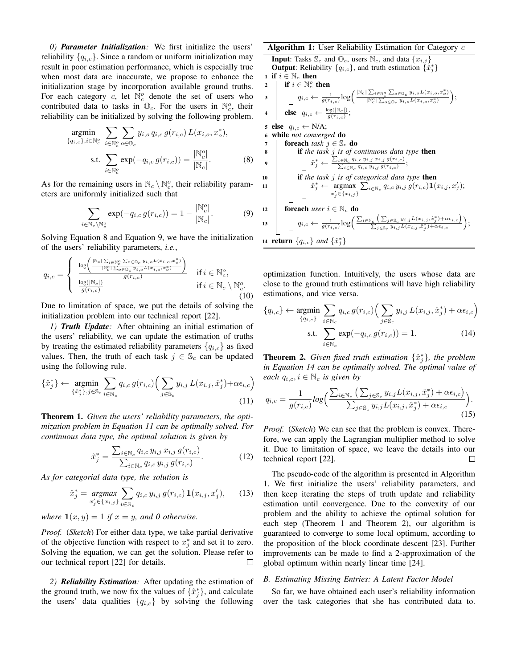*0) Parameter Initialization:* We first initialize the users' reliability  ${q_{i,c}}$ . Since a random or uniform initialization may result in poor estimation performance, which is especially true when most data are inaccurate, we propose to enhance the initialization stage by incorporation available ground truths. For each category  $c$ , let  $\mathbb{N}_c^o$  denote the set of users who contributed data to tasks in  $\mathbb{O}_c$ . For the users in  $\mathbb{N}_c^o$ , their reliability can be initialized by solving the following problem.

$$
\underset{\{q_{i,c}\}, i \in \mathbb{N}_{c}^{o}}{\text{argmin}} \sum_{i \in \mathbb{N}_{c}^{o}} \sum_{o \in \mathbb{O}_{c}} y_{i,o} q_{i,c} g(r_{i,c}) L(x_{i,o}, x_{o}^{*}),
$$
\n
$$
\text{s.t. } \sum_{i \in \mathbb{N}_{c}^{o}} \exp(-q_{i,c} g(r_{i,c})) = \frac{|\mathbb{N}_{c}^{o}|}{|\mathbb{N}_{c}|}. \tag{8}
$$

As for the remaining users in  $\mathbb{N}_c \setminus \mathbb{N}_c^o$ , their reliability parameters are uniformly initialized such that

$$
\sum_{i \in \mathbb{N}_c \backslash \mathbb{N}_c^o} \exp(-q_{i,c} g(r_{i,c})) = 1 - \frac{|\mathbb{N}_c^o|}{|\mathbb{N}_c|}.
$$
 (9)

Solving Equation 8 and Equation 9, we have the initialization of the users' reliability parameters, *i.e.*,

$$
q_{i,c} = \begin{cases} \n\frac{\log \left( \frac{|\text{N}_c| \sum_{i \in \mathbb{N}_c^o} \sum_{o \in \mathbb{O}_c} y_{i,o} L(x_{i,o}, x_o^*)}{|\mathbb{N}_c^o| \sum_{o \in \mathbb{O}_c} y_{i,o} L(x_{i,o}, x_o^*)} \right)}{\frac{g(r_{i,c})}{g(r_{i,c})}} & \text{if } i \in \mathbb{N}_c^o, \\
\frac{\log(|\text{N}_c|)}{g(r_{i,c})} & \text{if } i \in \mathbb{N}_c \setminus \mathbb{N}_c^o. \n\end{cases}
$$
\n(10)

Due to limitation of space, we put the details of solving the initialization problem into our technical report [22].

*1) Truth Update:* After obtaining an initial estimation of the users' reliability, we can update the estimation of truths by treating the estimated reliability parameters  ${q_{i,c}}$  as fixed values. Then, the truth of each task  $j \in \mathbb{S}_c$  can be updated using the following rule.

$$
\{\hat{x}_j^*\} \leftarrow \underset{\{\hat{x}_j^*\}, j \in \mathbb{S}_c}{\text{argmin}} \sum_{i \in \mathbb{N}_c} q_{i,c} g(r_{i,c}) \Big( \sum_{j \in \mathbb{S}_c} y_{i,j} L(x_{i,j}, \hat{x}_j^*) + \alpha \epsilon_{i,c} \Big) \tag{11}
$$

Theorem 1. *Given the users' reliability parameters, the optimization problem in Equation 11 can be optimally solved. For continuous data type, the optimal solution is given by*

$$
\hat{x}_j^* = \frac{\sum_{i \in \mathbb{N}_c} q_{i,c} y_{i,j} x_{i,j} g(r_{i,c})}{\sum_{i \in \mathbb{N}_c} q_{i,c} y_{i,j} g(r_{i,c})}.
$$
(12)

*As for categorial data type, the solution is*

$$
\hat{x}_j^* = \underset{x_j' \in \{x_{i,j}\}}{\text{argmax}} \sum_{i \in \mathbb{N}_c} q_{i,c} y_{i,j} g(r_{i,c}) \mathbf{1}(x_{i,j}, x_j'), \qquad (13)
$$

*where*  $\mathbf{1}(x, y) = 1$  *if*  $x = y$ *, and 0 otherwise.* 

*Proof.* (*Sketch*) For either data type, we take partial derivative of the objective function with respect to  $x_j^*$  and set it to zero. Solving the equation, we can get the solution. Please refer to our technical report [22] for details. □

*2) Reliability Estimation:* After updating the estimation of the ground truth, we now fix the values of  $\{\hat{x}_j^*\}$ , and calculate the users' data qualities  ${q_{i,c}}$  by solving the following

# Algorithm 1: User Reliability Estimation for Category *c*

**Input:** Tasks  $\mathbb{S}_c$  and  $\mathbb{O}_c$ , users  $\mathbb{N}_c$ , and data  $\{x_{i,j}\}$ **Output:** Reliability  $\{q_{i,c}\}\$ , and truth estimation  $\{\hat{x}_j^*\}$ 1 if  $i \in \mathbb{N}_c$  then 2 | if  $i \in \mathbb{N}_c^o$  then  $\begin{array}{c|c} \mathfrak{z} & \begin{array}{c} \mathfrak{z} & \end{array} \end{array} \begin{array}{c} \mathfrak{z} & \begin{array}{c} \mathfrak{z} \end{array} \end{array} \begin{array}{c} \mathfrak{z} \end{array} \begin{array}{c} \mathfrak{z} \end{array} \begin{array}{c} \mathfrak{z} \end{array} \begin{array}{c} \mathfrak{z} \end{array} \begin{array}{c} \mathfrak{z} \end{array} \begin{array}{c} \mathfrak{z} \end{array} \begin{array}{c} \mathfrak{z} \end{array} \begin{array}{c$  $\frac{\sum_{i \in \mathbb{N}_{c}^{o}} \sum_{o \in \mathbb{O}_{c}} y_{i,o} L(x_{i,o}, x_{o}^{*})}{\left| \mathbb{N}_{c}^{o} \right| \sum_{o \in \mathbb{O}_{c}} y_{i,o} L(x_{i,o}, x_{o}^{*})}$ 4 **else**  $q_{i,c} \leftarrow \frac{\log(|\mathbb{N}_c|)}{g(r_{i,c})};$ 5 else  $q_{i,c} \leftarrow N/A;$ <sup>6</sup> while *not converged* do 7 | foreach  $task\ j \in \mathbb{S}_c$  do <sup>8</sup> if *the task j is of continuous data type* then 9  $\begin{array}{|c|c|c|c|c|}\hline \rule{0pt}{1ex} \multicolumn{3}{c|}{\text{\LARGE $x^*_j$}} \leftarrow & \frac{\sum_{i\in \mathbb{N}_c} q_{i,c}\, y_{i,j}\, x_{i,j}\, g(r_{i,c})}{\sum_{i\in \mathbb{N}_c} q_{i,c}\, y_{i,j}\, g(r_{i,c})}; \hline \end{array}$ <sup>10</sup> if *the task j is of categorical data type* then 11  $\hat{x}_j^* \leftarrow \operatorname*{argmax}_{x'_j \in \{x_{i,j}\}}$  $\sum_{i \in \mathbb{N}_c} q_{i,c} y_{i,j} g(r_{i,c}) \mathbf{1}(x_{i,j}, x'_j);$ 

*<sup>j</sup>∈{xi,j}* <sup>12</sup> foreach *user i ∈* N*<sup>c</sup>* do <sup>13</sup> *qi,c ←* <sup>1</sup> *g*(*ri,c*) log( <sup>∑</sup> *i∈*N*c* ( <sup>∑</sup> *j∈*S*c yi,jL*(*xi,j ,x*ˆ *∗ j* )+*αϵi,c*) ∑ *j∈*S*c yi,jL*(*xi,j ,x*ˆ *∗ j* )+*αϵi,c* ) ; <sup>14</sup> return *{qi,c} and {x*ˆ *∗ j }*

optimization function. Intuitively, the users whose data are close to the ground truth estimations will have high reliability estimations, and vice versa.

$$
\{q_{i,c}\} \leftarrow \underset{\{q_{i,c}\}}{\text{argmin}} \sum_{i \in \mathbb{N}_c} q_{i,c} g(r_{i,c}) \Big( \sum_{j \in \mathbb{S}_c} y_{i,j} L(x_{i,j}, \hat{x}_j^*) + \alpha \epsilon_{i,c} \Big)
$$
\n
$$
\text{s.t. } \sum_{i \in \mathbb{N}_c} \exp(-q_{i,c} g(r_{i,c})) = 1. \tag{14}
$$

**Theorem 2.** *Given fixed truth estimation*  $\{\hat{x}_j^*\}$ *, the problem in Equation 14 can be optimally solved. The optimal value of each*  $q_{i,c}$ ,  $i \in \mathbb{N}_c$  *is given by* 

$$
q_{i,c} = \frac{1}{g(r_{i,c})} log\left(\frac{\sum_{i \in \mathbb{N}_c} \left(\sum_{j \in \mathbb{S}_c} y_{i,j} L(x_{i,j}, \hat{x}_j^*) + \alpha \epsilon_{i,c}\right)}{\sum_{j \in \mathbb{S}_c} y_{i,j} L(x_{i,j}, \hat{x}_j^*) + \alpha \epsilon_{i,c}}\right).
$$
\n(15)

*Proof.* (*Sketch*) We can see that the problem is convex. Therefore, we can apply the Lagrangian multiplier method to solve it. Due to limitation of space, we leave the details into our technical report [22].  $\Box$ 

The pseudo-code of the algorithm is presented in Algorithm 1. We first initialize the users' reliability parameters, and then keep iterating the steps of truth update and reliability estimation until convergence. Due to the convexity of our problem and the ability to achieve the optimal solution for each step (Theorem 1 and Theorem 2), our algorithm is guaranteed to converge to some local optimum, according to the proposition of the block coordinate descent [23]. Further improvements can be made to find a 2-approximation of the global optimum within nearly linear time [24].

# *B. Estimating Missing Entries: A Latent Factor Model*

So far, we have obtained each user's reliability information over the task categories that she has contributed data to.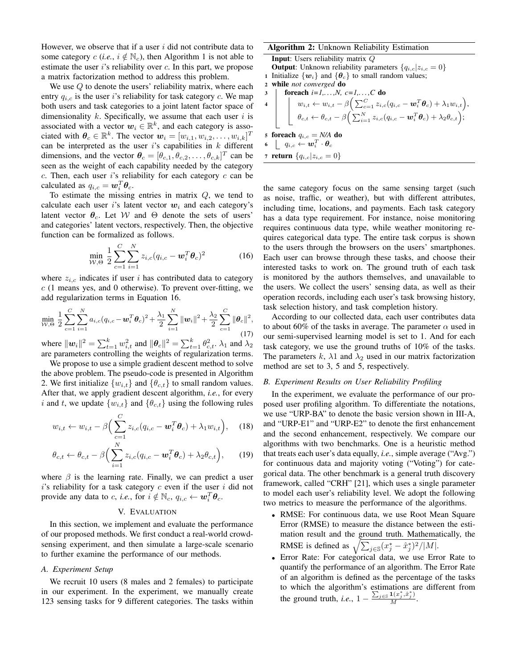However, we observe that if a user *i* did not contribute data to some category  $c$  (*i.e.*,  $i \notin \mathbb{N}_c$ ), then Algorithm 1 is not able to estimate the user *i*'s reliability over *c*. In this part, we propose a matrix factorization method to address this problem.

We use *Q* to denote the users' reliability matrix, where each entry  $q_{i,c}$  is the user *i*'s reliability for task category *c*. We map both users and task categories to a joint latent factor space of dimensionality *k*. Specifically, we assume that each user *i* is associated with a vector  $w_i \in \mathbb{R}^k$ , and each category is associated with  $\theta_c \in \mathbb{R}^k$ . The vector  $w_i = [w_{i,1}, w_{i,2}, \dots, w_{i,k}]^T$ can be interpreted as the user *i*'s capabilities in *k* different dimensions, and the vector  $\theta_c = [\theta_{c,1}, \theta_{c,2}, \dots, \theta_{c,k}]^T$  can be seen as the weight of each capability needed by the category *c*. Then, each user *i*'s reliability for each category *c* can be calculated as  $q_{i,c} = \boldsymbol{w}_i^T \boldsymbol{\theta}_c$ .

To estimate the missing entries in matrix *Q*, we tend to calculate each user  $i$ 's latent vector  $w_i$  and each category's latent vector  $\theta_c$ . Let *W* and  $\Theta$  denote the sets of users' and categories' latent vectors, respectively. Then, the objective function can be formalized as follows.

$$
\min_{\mathcal{W},\Theta} \frac{1}{2} \sum_{c=1}^{C} \sum_{i=1}^{N} z_{i,c} (q_{i,c} - \boldsymbol{w}_i^T \boldsymbol{\theta}_c)^2
$$
 (16)

where  $z_{i,c}$  indicates if user *i* has contributed data to category *c* (1 means yes, and 0 otherwise). To prevent over-fitting, we add regularization terms in Equation 16.

$$
\min_{\mathcal{W},\Theta} \frac{1}{2} \sum_{c=1}^{C} \sum_{i=1}^{N} a_{i,c} (q_{i,c} - \boldsymbol{w}_i^T \boldsymbol{\theta}_c)^2 + \frac{\lambda_1}{2} \sum_{i=1}^{N} ||\boldsymbol{w}_i||^2 + \frac{\lambda_2}{2} \sum_{c=1}^{C} ||\boldsymbol{\theta}_c||^2,
$$
\n(17)

where  $\|\mathbf{w}_i\|^2 = \sum_{t=1}^k w_{i,t}^2$  and  $\|\boldsymbol{\theta}_c\|^2 = \sum_{t=1}^k \theta_{c,t}^2$ .  $\lambda_1$  and  $\lambda_2$ are parameters controlling the weights of regularization terms.

We propose to use a simple gradient descent method to solve the above problem. The pseudo-code is presented in Algorithm 2. We first initialize  $\{w_{i,t}\}\$  and  $\{\theta_{c,t}\}\$  to small random values. After that, we apply gradient descent algorithm, *i.e.*, for every *i* and *t*, we update  $\{w_{i,t}\}\$  and  $\{\theta_{c,t}\}\$  using the following rules

$$
w_{i,t} \leftarrow w_{i,t} - \beta \Big( \sum_{c=1}^{C} z_{i,c} (q_{i,c} - \boldsymbol{w}_i^T \boldsymbol{\theta}_c) + \lambda_1 w_{i,t} \Big), \quad (18)
$$

$$
\theta_{c,t} \leftarrow \theta_{c,t} - \beta \Big( \sum_{i=1}^{N} z_{i,c} (q_{i,c} - \boldsymbol{w}_i^T \boldsymbol{\theta}_c) + \lambda_2 \theta_{c,t} \Big), \qquad (19)
$$

where  $\beta$  is the learning rate. Finally, we can predict a user *i*'s reliability for a task category *c* even if the user *i* did not provide any data to *c*, *i.e.*, for  $i \notin \mathbb{N}_c$ ,  $q_{i,c} \leftarrow \boldsymbol{w}_i^T \boldsymbol{\theta}_c$ .

## V. EVALUATION

In this section, we implement and evaluate the performance of our proposed methods. We first conduct a real-world crowdsensing experiment, and then simulate a large-scale scenario to further examine the performance of our methods.

## *A. Experiment Setup*

We recruit 10 users (8 males and 2 females) to participate in our experiment. In the experiment, we manually create 123 sensing tasks for 9 different categories. The tasks within

# Algorithm 2: Unknown Reliability Estimation

Input: Users reliability matrix *Q* **Output**: Unknown reliability parameters  $\{q_{i,c}|z_{i,c}=0\}$ 1 Initialize  $\{w_i\}$  and  $\{\theta_c\}$  to small random values; <sup>2</sup> while *not converged* do 3 | foreach  $i=1,\ldots,N, c=1,\ldots,C$  do  $\left\{ \quad \left| \quad w_{i,t} \leftarrow w_{i,t} - \beta \right( \sum_{c=1}^{C} z_{i,c} (q_{i,c} - \boldsymbol{w}_i^T \boldsymbol{\theta}_c) + \lambda_1 w_{i,t} \right), \right.$  $\theta_{c,t} \leftarrow \theta_{c,t} - \beta \Big( \sum_{i=1}^N z_{i,c} (q_{i,c} - \boldsymbol{w}_i^T \boldsymbol{\theta}_c) + \lambda_2 \theta_{c,t} \Big) ;$ 5 foreach  $q_{i,c} = N/A$  do  $\bm{q}_{i,c} \leftarrow \bm{w}_i^T \cdot \bm{\theta}_c$ 7 return  ${q_{i,c}}|z_{i,c}=0$ }

the same category focus on the same sensing target (such as noise, traffic, or weather), but with different attributes, including time, locations, and payments. Each task category has a data type requirement. For instance, noise monitoring requires continuous data type, while weather monitoring requires categorical data type. The entire task corpus is shown to the users through the browsers on the users' smartphones. Each user can browse through these tasks, and choose their interested tasks to work on. The ground truth of each task is monitored by the authors themselves, and unavailable to the users. We collect the users' sensing data, as well as their operation records, including each user's task browsing history, task selection history, and task completion history.

According to our collected data, each user contributes data to about 60% of the tasks in average. The parameter  $\alpha$  used in our semi-supervised learning model is set to 1. And for each task category, we use the ground truths of 10% of the tasks. The parameters  $k$ ,  $\lambda$ 1 and  $\lambda$ <sub>2</sub> used in our matrix factorization method are set to 3, 5 and 5, respectively.

#### *B. Experiment Results on User Reliability Profiling*

In the experiment, we evaluate the performance of our proposed user profiling algorithm. To differentiate the notations, we use "URP-BA" to denote the basic version shown in III-A, and "URP-E1" and "URP-E2" to denote the first enhancement and the second enhancement, respectively. We compare our algorithms with two benchmarks. One is a heuristic method that treats each user's data equally, *i.e.*, simple average ("Avg.") for continuous data and majority voting ("Voting") for categorical data. The other benchmark is a general truth discovery framework, called "CRH" [21], which uses a single parameter to model each user's reliability level. We adopt the following two metrics to measure the performance of the algorithms.

- *•* RMSE: For continuous data, we use Root Mean Square Error (RMSE) to measure the distance between the estimation result and the ground truth. Mathematically, the RMSE is defined as  $\sqrt{\sum_{j \in S} (x_j^* - \hat{x}_j^*)^2 / |M|}$ .
- *•* Error Rate: For categorical data, we use Error Rate to quantify the performance of an algorithm. The Error Rate of an algorithm is defined as the percentage of the tasks to which the algorithm's estimations are different from the ground truth, *i.e.*,  $1 - \frac{\sum_{j \in \mathbb{S}} \mathbf{1}(x_j^*, \hat{x}_j^*)}{M}$ .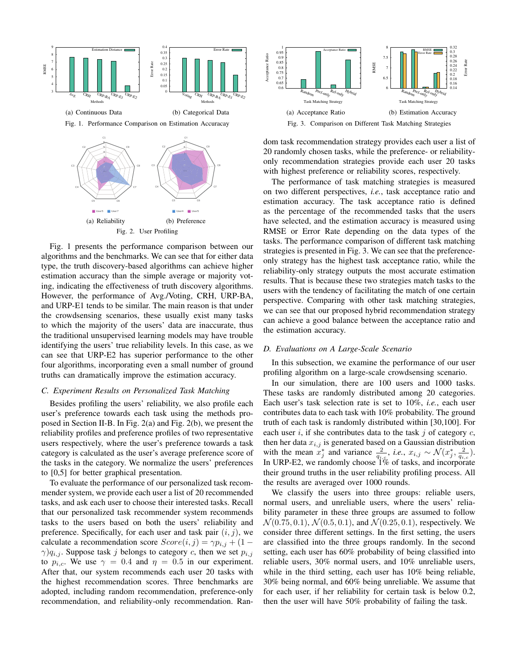

Fig. 1 presents the performance comparison between our algorithms and the benchmarks. We can see that for either data type, the truth discovery-based algorithms can achieve higher estimation accuracy than the simple average or majority voting, indicating the effectiveness of truth discovery algorithms. However, the performance of Avg./Voting, CRH, URP-BA, and URP-E1 tends to be similar. The main reason is that under the crowdsensing scenarios, these usually exist many tasks to which the majority of the users' data are inaccurate, thus the traditional unsupervised learning models may have trouble identifying the users' true reliability levels. In this case, as we can see that URP-E2 has superior performance to the other four algorithms, incorporating even a small number of ground truths can dramatically improve the estimation accuracy.

## *C. Experiment Results on Personalized Task Matching*

Besides profiling the users' reliability, we also profile each user's preference towards each task using the methods proposed in Section II-B. In Fig. 2(a) and Fig. 2(b), we present the reliability profiles and preference profiles of two representative users respectively, where the user's preference towards a task category is calculated as the user's average preference score of the tasks in the category. We normalize the users' preferences to [0,5] for better graphical presentation.

To evaluate the performance of our personalized task recommender system, we provide each user a list of 20 recommended tasks, and ask each user to choose their interested tasks. Recall that our personalized task recommender system recommends tasks to the users based on both the users' reliability and preference. Specifically, for each user and task pair  $(i, j)$ , we calculate a recommendation score  $Score(i, j) = \gamma p_{i,j} + (1 - j)$ *γ*) $q$ *i,j*. Suppose task *j* belongs to category *c*, then we set  $p$ <sup>*i,j*</sup> to  $p_{i,c}$ . We use  $\gamma = 0.4$  and  $\eta = 0.5$  in our experiment. After that, our system recommends each user 20 tasks with the highest recommendation scores. Three benchmarks are adopted, including random recommendation, preference-only recommendation, and reliability-only recommendation. Ran-



dom task recommendation strategy provides each user a list of 20 randomly chosen tasks, while the preference- or reliabilityonly recommendation strategies provide each user 20 tasks with highest preference or reliability scores, respectively.

The performance of task matching strategies is measured on two different perspectives, *i.e.*, task acceptance ratio and estimation accuracy. The task acceptance ratio is defined as the percentage of the recommended tasks that the users have selected, and the estimation accuracy is measured using RMSE or Error Rate depending on the data types of the tasks. The performance comparison of different task matching strategies is presented in Fig. 3. We can see that the preferenceonly strategy has the highest task acceptance ratio, while the reliability-only strategy outputs the most accurate estimation results. That is because these two strategies match tasks to the users with the tendency of facilitating the match of one certain perspective. Comparing with other task matching strategies, we can see that our proposed hybrid recommendation strategy can achieve a good balance between the acceptance ratio and the estimation accuracy.

## *D. Evaluations on A Large-Scale Scenario*

In this subsection, we examine the performance of our user profiling algorithm on a large-scale crowdsensing scenario.

In our simulation, there are 100 users and 1000 tasks. These tasks are randomly distributed among 20 categories. Each user's task selection rate is set to 10%, *i.e.*, each user contributes data to each task with 10% probability. The ground truth of each task is randomly distributed within [30,100]. For each user *i*, if she contributes data to the task *j* of category *c*, then her data *xi,j* is generated based on a Gaussian distribution with the mean  $x_j^*$  and variance  $\frac{2}{q_{i,c}}$ , *i.e.*,  $x_{i,j} \sim \mathcal{N}(x_j^*, \frac{2}{q_{i,c}})$ . In URP-E2, we randomly choose 1% of tasks, and incorporate their ground truths in the user reliability profiling process. All the results are averaged over 1000 rounds.

We classify the users into three groups: reliable users, normal users, and unreliable users, where the users' reliability parameter in these three groups are assumed to follow  $N(0.75, 0.1), N(0.5, 0.1),$  and  $N(0.25, 0.1)$ , respectively. We consider three different settings. In the first setting, the users are classified into the three groups randomly. In the second setting, each user has 60% probability of being classified into reliable users, 30% normal users, and 10% unreliable users, while in the third setting, each user has 10% being reliable, 30% being normal, and 60% being unreliable. We assume that for each user, if her reliability for certain task is below 0.2, then the user will have 50% probability of failing the task.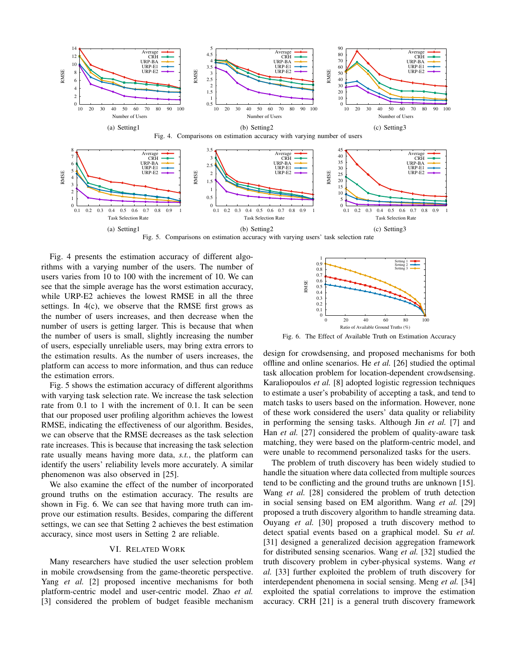

Fig. 4 presents the estimation accuracy of different algorithms with a varying number of the users. The number of users varies from 10 to 100 with the increment of 10. We can see that the simple average has the worst estimation accuracy, while URP-E2 achieves the lowest RMSE in all the three settings. In  $4(c)$ , we observe that the RMSE first grows as the number of users increases, and then decrease when the number of users is getting larger. This is because that when the number of users is small, slightly increasing the number of users, especially unreliable users, may bring extra errors to the estimation results. As the number of users increases, the platform can access to more information, and thus can reduce the estimation errors.

Fig. 5 shows the estimation accuracy of different algorithms with varying task selection rate. We increase the task selection rate from 0.1 to 1 with the increment of 0.1. It can be seen that our proposed user profiling algorithm achieves the lowest RMSE, indicating the effectiveness of our algorithm. Besides, we can observe that the RMSE decreases as the task selection rate increases. This is because that increasing the task selection rate usually means having more data, *s.t.*, the platform can identify the users' reliability levels more accurately. A similar phenomenon was also observed in [25].

We also examine the effect of the number of incorporated ground truths on the estimation accuracy. The results are shown in Fig. 6. We can see that having more truth can improve our estimation results. Besides, comparing the different settings, we can see that Setting 2 achieves the best estimation accuracy, since most users in Setting 2 are reliable.

# VI. RELATED WORK

Many researchers have studied the user selection problem in mobile crowdsensing from the game-theoretic perspective. Yang *et al.* [2] proposed incentive mechanisms for both platform-centric model and user-centric model. Zhao *et al.* [3] considered the problem of budget feasible mechanism



Fig. 6. The Effect of Available Truth on Estimation Accuracy

design for crowdsensing, and proposed mechanisms for both offline and online scenarios. He *et al.* [26] studied the optimal task allocation problem for location-dependent crowdsensing. Karaliopoulos *et al.* [8] adopted logistic regression techniques to estimate a user's probability of accepting a task, and tend to match tasks to users based on the information. However, none of these work considered the users' data quality or reliability in performing the sensing tasks. Although Jin *et al.* [7] and Han *et al.* [27] considered the problem of quality-aware task matching, they were based on the platform-centric model, and were unable to recommend personalized tasks for the users.

The problem of truth discovery has been widely studied to handle the situation where data collected from multiple sources tend to be conflicting and the ground truths are unknown [15]. Wang *et al.* [28] considered the problem of truth detection in social sensing based on EM algorithm. Wang *et al.* [29] proposed a truth discovery algorithm to handle streaming data. Ouyang *et al.* [30] proposed a truth discovery method to detect spatial events based on a graphical model. Su *et al.* [31] designed a generalized decision aggregation framework for distributed sensing scenarios. Wang *et al.* [32] studied the truth discovery problem in cyber-physical systems. Wang *et al.* [33] further exploited the problem of truth discovery for interdependent phenomena in social sensing. Meng *et al.* [34] exploited the spatial correlations to improve the estimation accuracy. CRH [21] is a general truth discovery framework